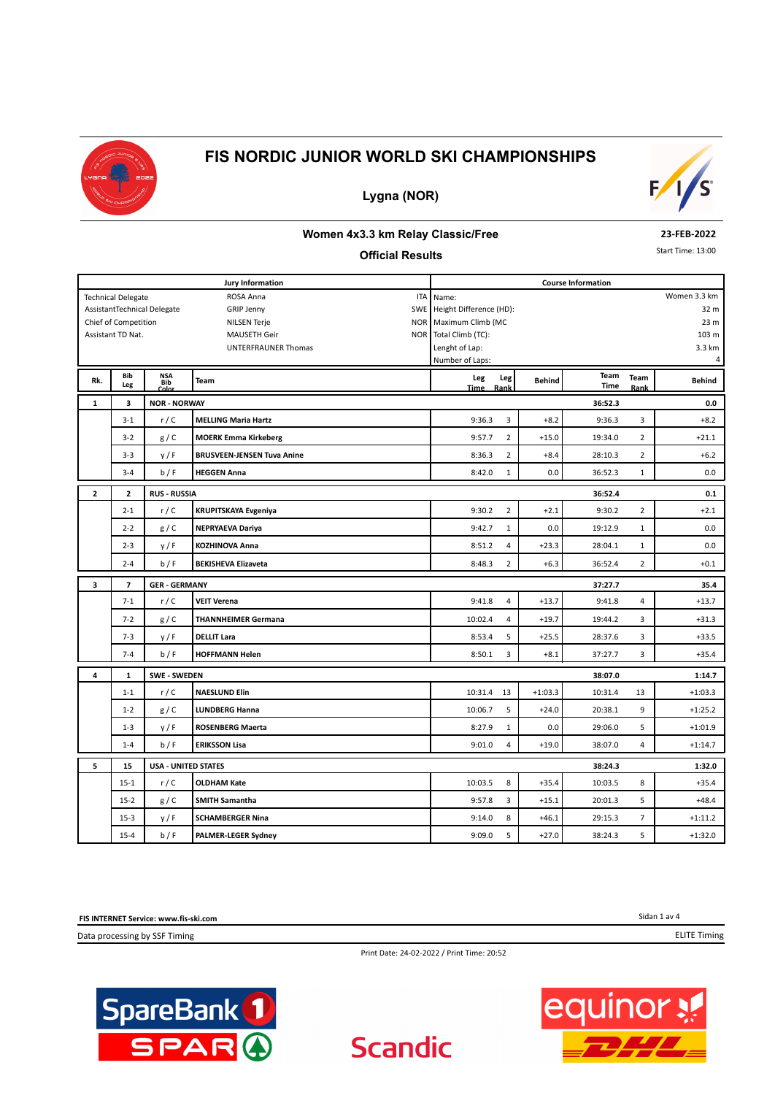





### **Women 4x3.3 km Relay Classic/Free**

#### **Official Results**

**23-FEB-2022**

Start Time: 13:00

|              |                           |                                   | <b>Jury Information</b>           | <b>Course Information</b>         |                           |              |                |                 |  |  |
|--------------|---------------------------|-----------------------------------|-----------------------------------|-----------------------------------|---------------------------|--------------|----------------|-----------------|--|--|
|              | <b>Technical Delegate</b> |                                   | ROSA Anna<br>ITA                  | Name:                             |                           |              |                | Women 3.3 km    |  |  |
|              |                           | AssistantTechnical Delegate       | <b>GRIP Jenny</b>                 | SWE Height Difference (HD):       |                           |              |                | 32 m            |  |  |
|              | Chief of Competition      |                                   | <b>NILSEN Terje</b>               | NOR Maximum Climb (MC             |                           |              |                | 23 <sub>m</sub> |  |  |
|              | Assistant TD Nat.         |                                   | <b>MAUSETH Geir</b><br>NOR        | Total Climb (TC):                 |                           |              |                | 103 m           |  |  |
|              |                           |                                   | UNTERFRAUNER Thomas               | Lenght of Lap:                    |                           |              |                | 3.3 km          |  |  |
|              |                           |                                   |                                   | Number of Laps:                   |                           |              |                | 4               |  |  |
| Rk.          | Bib<br>Leg                | <b>NSA</b><br><b>Bib</b><br>Color | <b>Team</b>                       | Leg<br>Leg<br><b>Time</b><br>Rank | <b>Behind</b>             | Team<br>Time | Team<br>Rank   | <b>Behind</b>   |  |  |
| 1            | 3                         | <b>NOR - NORWAY</b>               |                                   |                                   |                           | 36:52.3      |                | 0.0             |  |  |
|              | $3 - 1$                   | r/C                               | <b>MELLING Maria Hartz</b>        | 9:36.3                            | 3<br>$+8.2$               | 9:36.3       | 3              | $+8.2$          |  |  |
|              | $3 - 2$                   | g/C                               | <b>MOERK Emma Kirkeberg</b>       | 9:57.7                            | $\overline{2}$<br>$+15.0$ | 19:34.0      | $\overline{2}$ | $+21.1$         |  |  |
|              | $3 - 3$                   | y/F                               | <b>BRUSVEEN-JENSEN Tuva Anine</b> | 8:36.3                            | $\overline{2}$<br>$+8.4$  | 28:10.3      | $\overline{2}$ | $+6.2$          |  |  |
|              | $3 - 4$                   | b/F                               | <b>HEGGEN Anna</b>                | 8:42.0                            | $\mathbf{1}$<br>0.0       | 36:52.3      | $\mathbf{1}$   | 0.0             |  |  |
| $\mathbf{z}$ | $\mathbf{z}$              | <b>RUS - RUSSIA</b>               |                                   | 36:52.4<br>0.1                    |                           |              |                |                 |  |  |
|              | $2 - 1$                   | r/C                               | <b>KRUPITSKAYA Evgeniya</b>       | 9:30.2                            | $\overline{2}$<br>$+2.1$  | 9:30.2       | $\overline{2}$ | $+2.1$          |  |  |
|              | $2 - 2$                   | g/C                               | <b>NEPRYAEVA Dariya</b>           | 9:42.7                            | 0.0<br>$\mathbf{1}$       | 19:12.9      | $\mathbf{1}$   | 0.0             |  |  |
|              | $2 - 3$                   | y/F                               | KOZHINOVA Anna                    | 8:51.2                            | $\overline{4}$<br>$+23.3$ | 28:04.1      | $\mathbf{1}$   | 0.0             |  |  |
|              | $2 - 4$                   | b/F                               | <b>BEKISHEVA Elizaveta</b>        | 8:48.3                            | $\overline{2}$<br>$+6.3$  | 36:52.4      | $\overline{2}$ | $+0.1$          |  |  |
| 3            | $\overline{7}$            | <b>GER - GERMANY</b>              |                                   | 37:27.7                           |                           |              |                |                 |  |  |
|              | $7 - 1$                   | r/C                               | <b>VEIT Verena</b>                | 9:41.8                            | $\overline{4}$<br>$+13.7$ | 9:41.8       | 4              | $+13.7$         |  |  |
|              | $7 - 2$                   | g/C                               | <b>THANNHEIMER Germana</b>        | 10:02.4                           | $\overline{4}$<br>$+19.7$ | 19:44.2      | 3              | $+31.3$         |  |  |
|              | $7 - 3$                   | y/F                               | <b>DELLIT Lara</b>                | 8:53.4                            | 5<br>$+25.5$              | 28:37.6      | 3              | $+33.5$         |  |  |
|              | $7 - 4$                   | b/F                               | <b>HOFFMANN Helen</b>             | 8:50.1                            | 3<br>$+8.1$               | 37:27.7      | 3              | $+35.4$         |  |  |
| 4            | 1                         | <b>SWE - SWEDEN</b>               |                                   |                                   |                           | 38:07.0      |                | 1:14.7          |  |  |
|              | $1 - 1$                   | r/C                               | <b>NAESLUND Elin</b>              | 10:31.4<br>13                     | $+1:03.3$                 | 10:31.4      | 13             | $+1:03.3$       |  |  |
|              | $1 - 2$                   | g/C                               | <b>LUNDBERG Hanna</b>             | 10:06.7                           | 5<br>$+24.0$              | 20:38.1      | 9              | $+1:25.2$       |  |  |
|              | $1 - 3$                   | y/F                               | <b>ROSENBERG Maerta</b>           | 8:27.9                            | $\mathbf{1}$<br>0.0       | 29:06.0      | 5              | $+1:01.9$       |  |  |
|              | $1 - 4$                   | b/F                               | <b>ERIKSSON Lisa</b>              | 9:01.0                            | $\overline{4}$<br>$+19.0$ | 38:07.0      | $\overline{4}$ | $+1:14.7$       |  |  |
| 5            | 15                        | <b>USA - UNITED STATES</b>        |                                   |                                   |                           | 38:24.3      |                | 1:32.0          |  |  |
|              | $15 - 1$                  | r/C                               | <b>OLDHAM Kate</b>                | 10:03.5                           | 8<br>$+35.4$              | 10:03.5      | 8              | $+35.4$         |  |  |
|              | $15 - 2$                  | g/C                               | <b>SMITH Samantha</b>             | 9:57.8                            | 3<br>$+15.1$              | 20:01.3      | 5              | $+48.4$         |  |  |
|              | $15-3$                    | y/F                               | <b>SCHAMBERGER Nina</b>           | 9:14.0                            | 8<br>$+46.1$              | 29:15.3      | $\overline{7}$ | $+1:11.2$       |  |  |
|              | $15 - 4$                  | b/F                               | PALMER-LEGER Sydney               | 9:09.0                            | 5<br>$+27.0$              | 38:24.3      | 5              | $+1:32.0$       |  |  |

**FIS INTERNET Service: www.fis-ski.com**

Data processing by SSF Timing

Sidan 1 av 4 ELITE Timing

Print Date: 24-02-2022 / Print Time: 20:52

**Scandic** 



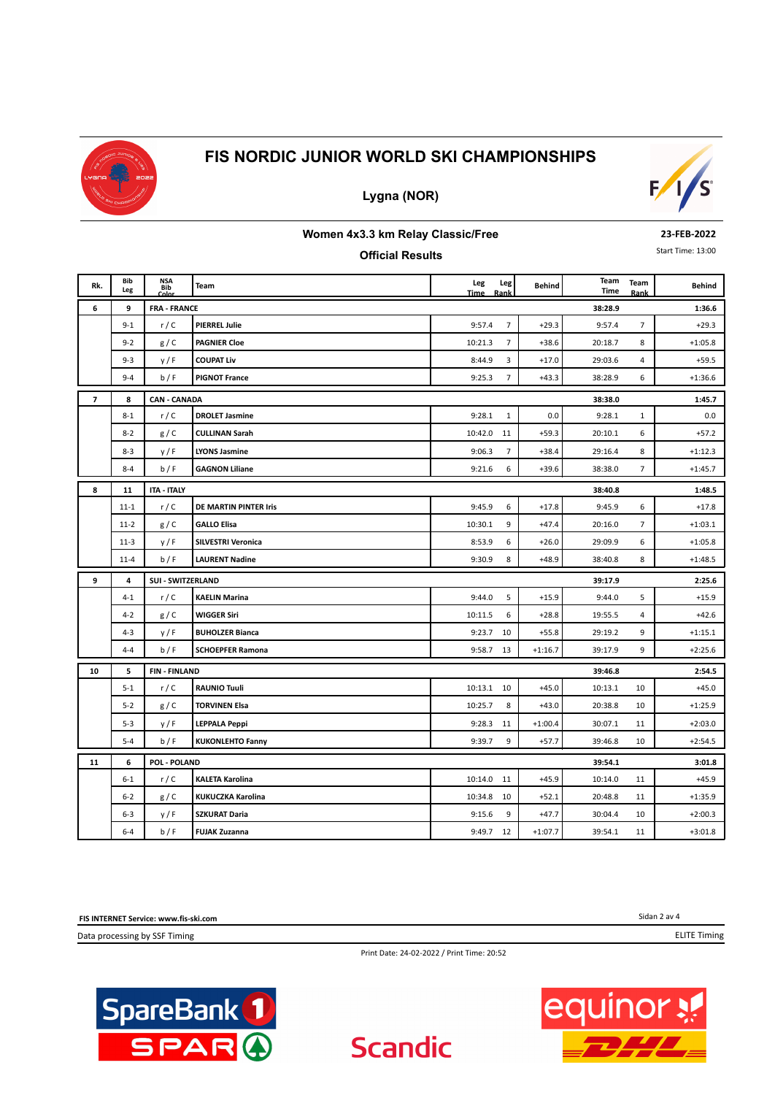

**Lygna (NOR)**



#### **Women 4x3.3 km Relay Classic/Free**

### **Official Results**

**23-FEB-2022**

Start Time: 13:00

| Rk. | Bib<br>Leg | NSA<br>Bib<br>Color                 | <b>Team</b>             | Leg<br>Leg<br><b>Time</b><br>Rank | <b>Behind</b> | Team<br>Time | Team<br>Rank   | <b>Behind</b> |  |  |
|-----|------------|-------------------------------------|-------------------------|-----------------------------------|---------------|--------------|----------------|---------------|--|--|
| 6   | 9          | <b>FRA - FRANCE</b>                 |                         |                                   |               | 38:28.9      |                | 1:36.6        |  |  |
|     | $9 - 1$    | r/C                                 | <b>PIERREL Julie</b>    | $\overline{7}$<br>9:57.4          | $+29.3$       | 9:57.4       | $\overline{7}$ | $+29.3$       |  |  |
|     | $9 - 2$    | g/C                                 | <b>PAGNIER Cloe</b>     | 10:21.3<br>$\overline{7}$         | $+38.6$       | 20:18.7      | 8              | $+1:05.8$     |  |  |
|     | $9 - 3$    | y/F                                 | <b>COUPAT Liv</b>       | 3<br>8:44.9                       | $+17.0$       | 29:03.6      | $\overline{4}$ | $+59.5$       |  |  |
|     | $9 - 4$    | b/F                                 | <b>PIGNOT France</b>    | $\overline{7}$<br>9:25.3          | $+43.3$       | 38:28.9      | 6              | $+1:36.6$     |  |  |
| 7   | 8          | <b>CAN - CANADA</b>                 |                         |                                   |               | 38:38.0      |                | 1:45.7        |  |  |
|     | $8 - 1$    | r/C                                 | <b>DROLET Jasmine</b>   | 9:28.1<br>$\mathbf{1}$            | 0.0           | 9:28.1       | $\mathbf{1}$   | 0.0           |  |  |
|     | $8 - 2$    | g/C                                 | <b>CULLINAN Sarah</b>   | 10:42.0<br>11                     | $+59.3$       | 20:10.1      | 6              | $+57.2$       |  |  |
|     | $8 - 3$    | y/F                                 | <b>LYONS Jasmine</b>    | $\overline{7}$<br>9:06.3          | $+38.4$       | 29:16.4      | 8              | $+1:12.3$     |  |  |
|     | $8 - 4$    | b/F                                 | <b>GAGNON Liliane</b>   | 9:21.6<br>6                       | $+39.6$       | 38:38.0      | $\overline{7}$ | $+1:45.7$     |  |  |
| 8   | 11         | <b>ITA - ITALY</b>                  |                         | 38:40.8                           |               |              |                |               |  |  |
|     | $11 - 1$   | r/C                                 | DE MARTIN PINTER Iris   | 6<br>9:45.9                       | $+17.8$       | 9:45.9       | 6              | $+17.8$       |  |  |
|     | $11 - 2$   | g/C                                 | <b>GALLO Elisa</b>      | 10:30.1<br>9                      | $+47.4$       | 20:16.0      | 7              | $+1:03.1$     |  |  |
|     | $11-3$     | y/F                                 | SILVESTRI Veronica      | 8:53.9<br>6                       | $+26.0$       | 29:09.9      | 6              | $+1:05.8$     |  |  |
|     | $11 - 4$   | b/F                                 | <b>LAURENT Nadine</b>   | 8<br>9:30.9                       | $+48.9$       | 38:40.8      | 8              | $+1:48.5$     |  |  |
| 9   | 4          | <b>SUI - SWITZERLAND</b><br>39:17.9 |                         |                                   |               |              |                |               |  |  |
|     | $4 - 1$    | r/C                                 | <b>KAELIN Marina</b>    | 5<br>9:44.0                       | $+15.9$       | 9:44.0       | 5              | $+15.9$       |  |  |
|     | $4 - 2$    | g/C                                 | <b>WIGGER Siri</b>      | 10:11.5<br>6                      | $+28.8$       | 19:55.5      | 4              | $+42.6$       |  |  |
|     | $4 - 3$    | y/F                                 | <b>BUHOLZER Bianca</b>  | 9:23.7<br>10                      | $+55.8$       | 29:19.2      | 9              | $+1:15.1$     |  |  |
|     | $4 - 4$    | b/F                                 | <b>SCHOEPFER Ramona</b> | 9:58.7<br>13                      | $+1:16.7$     | 39:17.9      | 9              | $+2:25.6$     |  |  |
| 10  | 5          | <b>FIN-FINLAND</b>                  |                         |                                   |               | 39:46.8      |                | 2:54.5        |  |  |
|     | $5 - 1$    | r/C                                 | <b>RAUNIO Tuuli</b>     | 10:13.1<br>10                     | $+45.0$       | 10:13.1      | 10             | $+45.0$       |  |  |
|     | $5 - 2$    | g/C                                 | <b>TORVINEN Elsa</b>    | 8<br>10:25.7                      | $+43.0$       | 20:38.8      | 10             | $+1:25.9$     |  |  |
|     | $5 - 3$    | y/F                                 | <b>LEPPALA Peppi</b>    | 9:28.3<br>11                      | $+1:00.4$     | 30:07.1      | 11             | $+2:03.0$     |  |  |
|     | $5 - 4$    | b/F                                 | <b>KUKONLEHTO Fanny</b> | 9<br>9:39.7                       | $+57.7$       | 39:46.8      | 10             | $+2:54.5$     |  |  |
| 11  | 6          | POL - POLAND                        |                         |                                   |               | 39:54.1      |                | 3:01.8        |  |  |
|     | $6 - 1$    | r/C                                 | <b>KALETA Karolina</b>  | 10:14.0<br>11                     | $+45.9$       | 10:14.0      | 11             | $+45.9$       |  |  |
|     | $6 - 2$    | g/C                                 | KUKUCZKA Karolina       | 10:34.8<br>10                     | $+52.1$       | 20:48.8      | 11             | $+1:35.9$     |  |  |
|     | $6 - 3$    | y/F                                 | <b>SZKURAT Daria</b>    | 9:15.6<br>9                       | $+47.7$       | 30:04.4      | 10             | $+2:00.3$     |  |  |
|     | $6 - 4$    | b/F                                 | <b>FUJAK Zuzanna</b>    | 9:49.7 12                         | $+1:07.7$     | 39:54.1      | 11             | $+3:01.8$     |  |  |

**FIS INTERNET Service: www.fis-ski.com**

Data processing by SSF Timing

Sidan 2 av 4

ELITE Timing

Print Date: 24-02-2022 / Print Time: 20:52

**Scandic** 



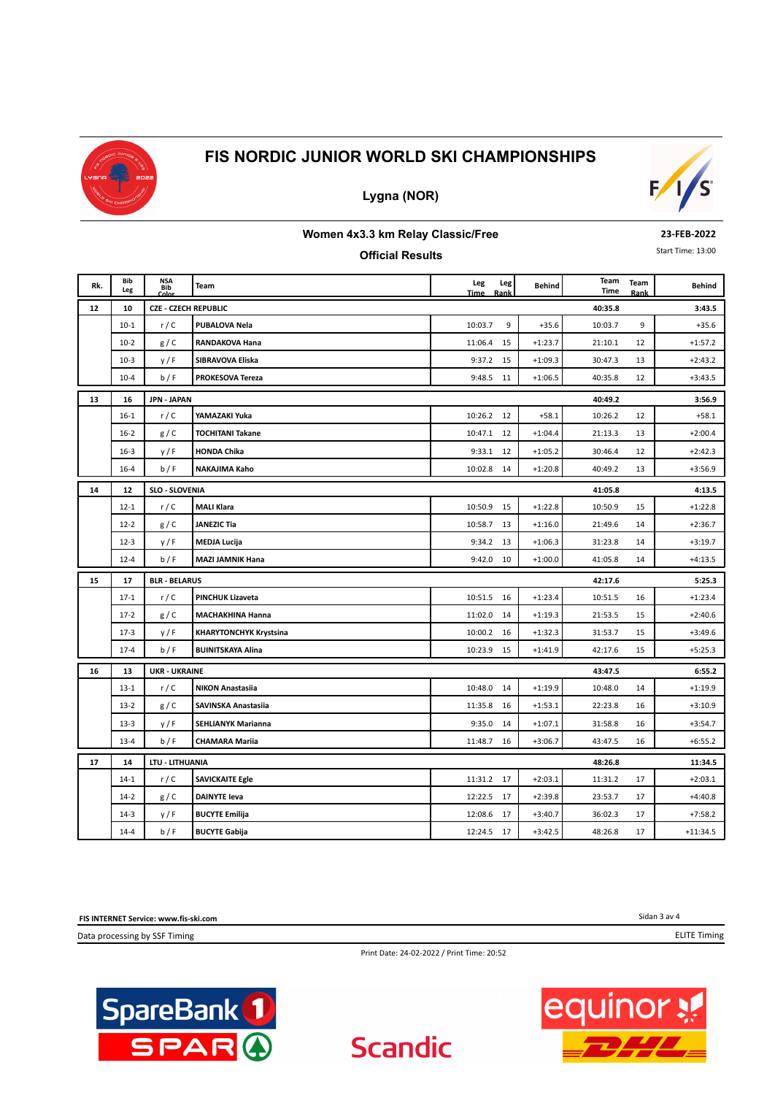

## **Lygna (NOR)**



#### **Women 4x3.3 km Relay Classic/Free**

#### **Official Results**

**23-FEB-2022**

Start Time: 13:00

| Rk. | Bib<br>Leg | <b>NSA</b><br><b>Bib</b><br>Colo | Team                          | Leg<br><b>Time</b> | Leg<br>Rank | <b>Behind</b> | Team<br>Time | Team<br>Rank | Behind     |
|-----|------------|----------------------------------|-------------------------------|--------------------|-------------|---------------|--------------|--------------|------------|
| 12  | 10         | <b>CZE - CZECH REPUBLIC</b>      |                               |                    |             |               | 40:35.8      |              | 3:43.5     |
|     | $10-1$     | r/C                              | PUBALOVA Nela                 | 10:03.7            | 9           | $+35.6$       | 10:03.7      | 9            | $+35.6$    |
|     | $10-2$     | g/C                              | RANDAKOVA Hana                | 11:06.4            | 15          | $+1:23.7$     | 21:10.1      | 12           | $+1:57.2$  |
|     | $10-3$     | y/F                              | SIBRAVOVA Eliska              | 9:37.2             | 15          | $+1:09.3$     | 30:47.3      | 13           | $+2:43.2$  |
|     | $10 - 4$   | b/F                              | PROKESOVA Tereza              | 9:48.5             | 11          | $+1:06.5$     | 40:35.8      | 12           | $+3:43.5$  |
| 13  | 16         | <b>JPN - JAPAN</b>               |                               |                    |             |               | 40:49.2      |              | 3:56.9     |
|     | $16 - 1$   | r/C                              | YAMAZAKI Yuka                 | 10:26.2 12         |             | $+58.1$       | 10:26.2      | 12           | $+58.1$    |
|     | $16 - 2$   | g/C                              | <b>TOCHITANI Takane</b>       | 10:47.1            | 12          | $+1:04.4$     | 21:13.3      | 13           | $+2:00.4$  |
|     | $16 - 3$   | y/F                              | <b>HONDA Chika</b>            | 9:33.1             | 12          | $+1:05.2$     | 30:46.4      | 12           | $+2:42.3$  |
|     | $16 - 4$   | b/F                              | NAKAJIMA Kaho                 | 10:02.8            | 14          | $+1:20.8$     | 40:49.2      | 13           | $+3:56.9$  |
| 14  | 12         | <b>SLO - SLOVENIA</b>            |                               |                    |             |               | 41:05.8      |              | 4:13.5     |
|     | $12 - 1$   | r/C                              | <b>MALI Klara</b>             | 10:50.9            | 15          | $+1:22.8$     | 10:50.9      | 15           | $+1:22.8$  |
|     | $12 - 2$   | g/C                              | <b>JANEZIC Tia</b>            | 10:58.7            | 13          | $+1:16.0$     | 21:49.6      | 14           | $+2:36.7$  |
|     | $12 - 3$   | y/F                              | <b>MEDJA Lucija</b>           | 9:34.2             | 13          | $+1:06.3$     | 31:23.8      | 14           | $+3:19.7$  |
|     | $12 - 4$   | b/F                              | <b>MAZI JAMNIK Hana</b>       | 9:42.0             | 10          | $+1:00.0$     | 41:05.8      | 14           | $+4:13.5$  |
| 15  | 17         | <b>BLR - BELARUS</b>             |                               |                    |             |               | 42:17.6      |              | 5:25.3     |
|     | $17-1$     | r/C                              | <b>PINCHUK Lizaveta</b>       | 10:51.5            | 16          | $+1:23.4$     | 10:51.5      | 16           | $+1:23.4$  |
|     | $17-2$     | g/C                              | <b>MACHAKHINA Hanna</b>       | 11:02.0            | 14          | $+1:19.3$     | 21:53.5      | 15           | $+2:40.6$  |
|     | $17-3$     | y/F                              | <b>KHARYTONCHYK Krystsina</b> | 10:00.2            | 16          | $+1:32.3$     | 31:53.7      | 15           | $+3:49.6$  |
|     | $17 - 4$   | b/F                              | <b>BUINITSKAYA Alina</b>      | 10:23.9            | 15          | $+1:41.9$     | 42:17.6      | 15           | $+5:25.3$  |
| 16  | 13         | <b>UKR - UKRAINE</b>             |                               |                    |             |               | 43:47.5      |              | 6:55.2     |
|     | $13-1$     | r/C                              | <b>NIKON Anastasiia</b>       | 10:48.0            | 14          | $+1:19.9$     | 10:48.0      | 14           | $+1:19.9$  |
|     | $13-2$     | g/C                              | <b>SAVINSKA Anastasiia</b>    | 11:35.8            | 16          | $+1:53.1$     | 22:23.8      | 16           | $+3:10.9$  |
|     | $13-3$     | y/F                              | <b>SEHLIANYK Marianna</b>     | 9:35.0             | 14          | $+1:07.1$     | 31:58.8      | 16           | $+3:54.7$  |
|     | $13 - 4$   | b/F                              | <b>CHAMARA Mariia</b>         | 11:48.7            | 16          | $+3:06.7$     | 43:47.5      | 16           | $+6:55.2$  |
| 17  | 14         | LTU - LITHUANIA                  |                               |                    |             |               | 48:26.8      |              | 11:34.5    |
|     | $14-1$     | r/C                              | <b>SAVICKAITE Egle</b>        | 11:31.2            | 17          | $+2:03.1$     | 11:31.2      | 17           | $+2:03.1$  |
|     | $14-2$     | g/C                              | <b>DAINYTE leva</b>           | 12:22.5            | 17          | $+2:39.8$     | 23:53.7      | 17           | $+4:40.8$  |
|     | $14-3$     | y / F                            | <b>BUCYTE Emilija</b>         | 12:08.6            | 17          | $+3:40.7$     | 36:02.3      | 17           | $+7:58.2$  |
|     | $14 - 4$   | b/F                              | <b>BUCYTE Gabija</b>          | 12:24.5            | 17          | $+3:42.5$     | 48:26.8      | 17           | $+11:34.5$ |

**FIS INTERNET Service: www.fis-ski.com**

Data processing by SSF Timing

Sidan 3 av 4

ELITE Timing

Print Date: 24-02-2022 / Print Time: 20:52

**Scandic**